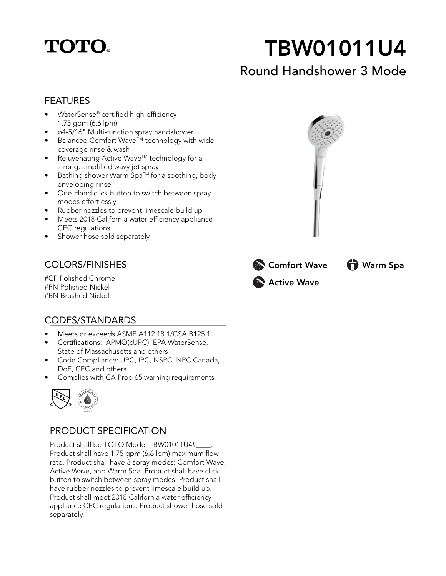

# TBW01011U4

### Round Handshower 3 Mode

### FEATURES

- WaterSense® certified high-efficiency 1.75 gpm (6.6 lpm)
- ø4-5/16" Multi-function spray handshower
- Balanced Comfort Wave™ technology with wide coverage rinse & wash
- Rejuvenating Active Wave™ technology for a strong, amplified wavy jet spray
- $\bullet$  Bathing shower Warm Spa<sup>TM</sup> for a soothing, body enveloping rinse
- One-Hand click button to switch between spray modes effortlessly
- Rubber nozzles to prevent limescale build up
- Meets 2018 California water efficiency appliance CEC regulations
- Shower hose sold separately

### COLORS/FINISHES

#CP Polished Chrome #PN Polished Nickel #BN Brushed Nickel

### CODES/STANDARDS

- Meets or exceeds ASME A112.18.1/CSA B125.1
- Certifications: IAPMO(cUPC), EPA WaterSense, State of Massachusetts and others
- Code Compliance: UPC, IPC, NSPC, NPC Canada, DoE, CEC and others
- Complies with CA Prop 65 warning requirements



### PRODUCT SPECIFICATION

Product shall be TOTO Model TBW01011U4# Product shall have 1.75 gpm (6.6 lpm) maximum flow rate. Product shall have 3 spray modes: Comfort Wave, Active Wave, and Warm Spa. Product shall have click button to switch between spray modes. Product shall have rubber nozzles to prevent limescale build up. Product shall meet 2018 California water efficiency appliance CEC regulations. Product shower hose sold separately.